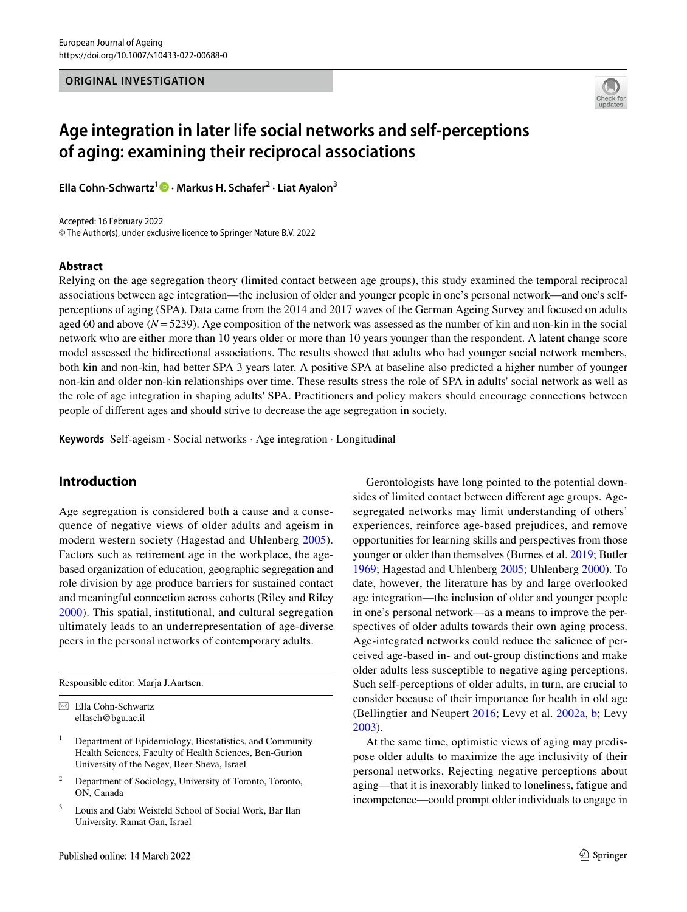

# **Age integration in later life social networks and self‑perceptions of aging: examining their reciprocal associations**

**Ella Cohn‑Schwartz1  [·](http://orcid.org/0000-0001-9623-1820) Markus H. Schafer<sup>2</sup> · Liat Ayalon3**

Accepted: 16 February 2022 © The Author(s), under exclusive licence to Springer Nature B.V. 2022

## **Abstract**

Relying on the age segregation theory (limited contact between age groups), this study examined the temporal reciprocal associations between age integration—the inclusion of older and younger people in one's personal network—and one's selfperceptions of aging (SPA). Data came from the 2014 and 2017 waves of the German Ageing Survey and focused on adults aged 60 and above (*N*=5239). Age composition of the network was assessed as the number of kin and non-kin in the social network who are either more than 10 years older or more than 10 years younger than the respondent. A latent change score model assessed the bidirectional associations. The results showed that adults who had younger social network members, both kin and non-kin, had better SPA 3 years later. A positive SPA at baseline also predicted a higher number of younger non-kin and older non-kin relationships over time. These results stress the role of SPA in adults' social network as well as the role of age integration in shaping adults' SPA. Practitioners and policy makers should encourage connections between people of diferent ages and should strive to decrease the age segregation in society.

**Keywords** Self-ageism · Social networks · Age integration · Longitudinal

# **Introduction**

Age segregation is considered both a cause and a consequence of negative views of older adults and ageism in modern western society (Hagestad and Uhlenberg [2005](#page-8-0)). Factors such as retirement age in the workplace, the agebased organization of education, geographic segregation and role division by age produce barriers for sustained contact and meaningful connection across cohorts (Riley and Riley [2000\)](#page-8-1). This spatial, institutional, and cultural segregation ultimately leads to an underrepresentation of age-diverse peers in the personal networks of contemporary adults.

Responsible editor: Marja J.Aartsen.

- <sup>2</sup> Department of Sociology, University of Toronto, Toronto, ON, Canada
- <sup>3</sup> Louis and Gabi Weisfeld School of Social Work, Bar Ilan University, Ramat Gan, Israel

Gerontologists have long pointed to the potential downsides of limited contact between diferent age groups. Agesegregated networks may limit understanding of others' experiences, reinforce age-based prejudices, and remove opportunities for learning skills and perspectives from those younger or older than themselves (Burnes et al. [2019](#page-7-0); Butler [1969](#page-7-1); Hagestad and Uhlenberg [2005](#page-8-0); Uhlenberg [2000\)](#page-8-2). To date, however, the literature has by and large overlooked age integration—the inclusion of older and younger people in one's personal network—as a means to improve the perspectives of older adults towards their own aging process. Age-integrated networks could reduce the salience of perceived age-based in- and out-group distinctions and make older adults less susceptible to negative aging perceptions. Such self-perceptions of older adults, in turn, are crucial to consider because of their importance for health in old age (Bellingtier and Neupert [2016](#page-7-2); Levy et al. [2002a](#page-8-3), [b;](#page-8-4) Levy [2003](#page-8-5)).

At the same time, optimistic views of aging may predispose older adults to maximize the age inclusivity of their personal networks. Rejecting negative perceptions about aging—that it is inexorably linked to loneliness, fatigue and incompetence—could prompt older individuals to engage in

 $\boxtimes$  Ella Cohn-Schwartz ellasch@bgu.ac.il

<sup>1</sup> Department of Epidemiology, Biostatistics, and Community Health Sciences, Faculty of Health Sciences, Ben-Gurion University of the Negev, Beer-Sheva, Israel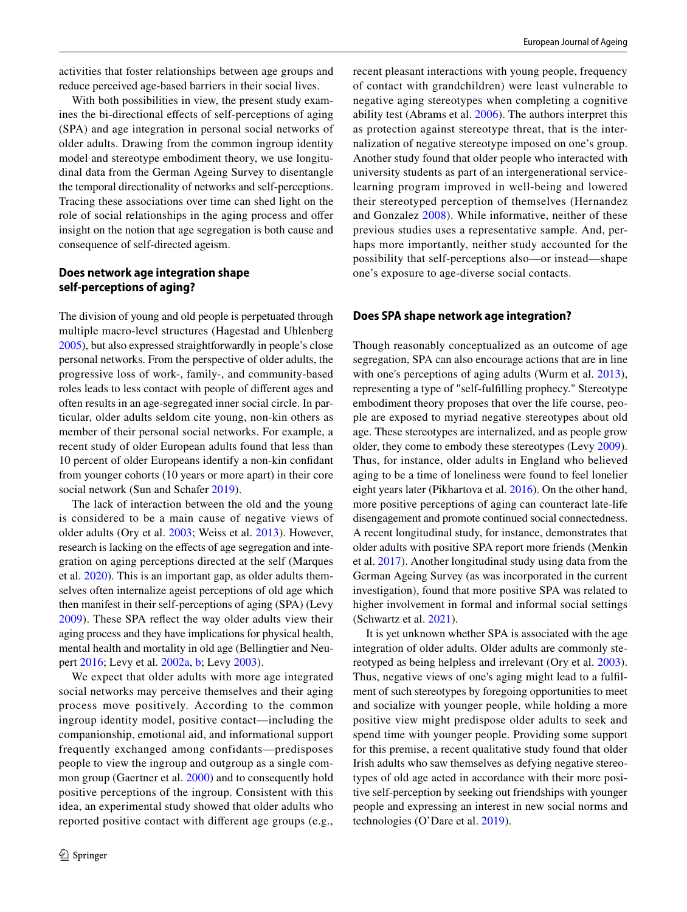activities that foster relationships between age groups and reduce perceived age-based barriers in their social lives.

With both possibilities in view, the present study examines the bi-directional efects of self-perceptions of aging (SPA) and age integration in personal social networks of older adults. Drawing from the common ingroup identity model and stereotype embodiment theory, we use longitudinal data from the German Ageing Survey to disentangle the temporal directionality of networks and self-perceptions. Tracing these associations over time can shed light on the role of social relationships in the aging process and offer insight on the notion that age segregation is both cause and consequence of self-directed ageism.

# **Does network age integration shape self‑perceptions of aging?**

The division of young and old people is perpetuated through multiple macro-level structures (Hagestad and Uhlenberg [2005\)](#page-8-0), but also expressed straightforwardly in people's close personal networks. From the perspective of older adults, the progressive loss of work-, family-, and community-based roles leads to less contact with people of diferent ages and often results in an age-segregated inner social circle. In particular, older adults seldom cite young, non-kin others as member of their personal social networks. For example, a recent study of older European adults found that less than 10 percent of older Europeans identify a non-kin confdant from younger cohorts (10 years or more apart) in their core social network (Sun and Schafer [2019\)](#page-8-6).

The lack of interaction between the old and the young is considered to be a main cause of negative views of older adults (Ory et al. [2003;](#page-8-7) Weiss et al. [2013](#page-8-8)). However, research is lacking on the efects of age segregation and integration on aging perceptions directed at the self (Marques et al. [2020](#page-8-9)). This is an important gap, as older adults themselves often internalize ageist perceptions of old age which then manifest in their self-perceptions of aging (SPA) (Levy [2009\)](#page-8-10). These SPA refect the way older adults view their aging process and they have implications for physical health, mental health and mortality in old age (Bellingtier and Neupert [2016;](#page-7-2) Levy et al. [2002a,](#page-8-3) [b;](#page-8-4) Levy [2003\)](#page-8-5).

We expect that older adults with more age integrated social networks may perceive themselves and their aging process move positively. According to the common ingroup identity model, positive contact—including the companionship, emotional aid, and informational support frequently exchanged among confidants—predisposes people to view the ingroup and outgroup as a single common group (Gaertner et al. [2000\)](#page-8-11) and to consequently hold positive perceptions of the ingroup. Consistent with this idea, an experimental study showed that older adults who reported positive contact with diferent age groups (e.g., recent pleasant interactions with young people, frequency of contact with grandchildren) were least vulnerable to negative aging stereotypes when completing a cognitive ability test (Abrams et al. [2006](#page-7-3)). The authors interpret this as protection against stereotype threat, that is the internalization of negative stereotype imposed on one's group. Another study found that older people who interacted with university students as part of an intergenerational servicelearning program improved in well-being and lowered their stereotyped perception of themselves (Hernandez and Gonzalez [2008](#page-8-12)). While informative, neither of these previous studies uses a representative sample. And, perhaps more importantly, neither study accounted for the possibility that self-perceptions also—or instead—shape one's exposure to age-diverse social contacts.

## **Does SPA shape network age integration?**

Though reasonably conceptualized as an outcome of age segregation, SPA can also encourage actions that are in line with one's perceptions of aging adults (Wurm et al. [2013](#page-8-13)), representing a type of "self-fulflling prophecy." Stereotype embodiment theory proposes that over the life course, people are exposed to myriad negative stereotypes about old age. These stereotypes are internalized, and as people grow older, they come to embody these stereotypes (Levy [2009](#page-8-10)). Thus, for instance, older adults in England who believed aging to be a time of loneliness were found to feel lonelier eight years later (Pikhartova et al. [2016](#page-8-14)). On the other hand, more positive perceptions of aging can counteract late-life disengagement and promote continued social connectedness. A recent longitudinal study, for instance, demonstrates that older adults with positive SPA report more friends (Menkin et al. [2017\)](#page-8-15). Another longitudinal study using data from the German Ageing Survey (as was incorporated in the current investigation), found that more positive SPA was related to higher involvement in formal and informal social settings (Schwartz et al. [2021](#page-8-16)).

It is yet unknown whether SPA is associated with the age integration of older adults. Older adults are commonly stereotyped as being helpless and irrelevant (Ory et al. [2003](#page-8-7)). Thus, negative views of one's aging might lead to a fulflment of such stereotypes by foregoing opportunities to meet and socialize with younger people, while holding a more positive view might predispose older adults to seek and spend time with younger people. Providing some support for this premise, a recent qualitative study found that older Irish adults who saw themselves as defying negative stereotypes of old age acted in accordance with their more positive self-perception by seeking out friendships with younger people and expressing an interest in new social norms and technologies (O'Dare et al. [2019\)](#page-8-17).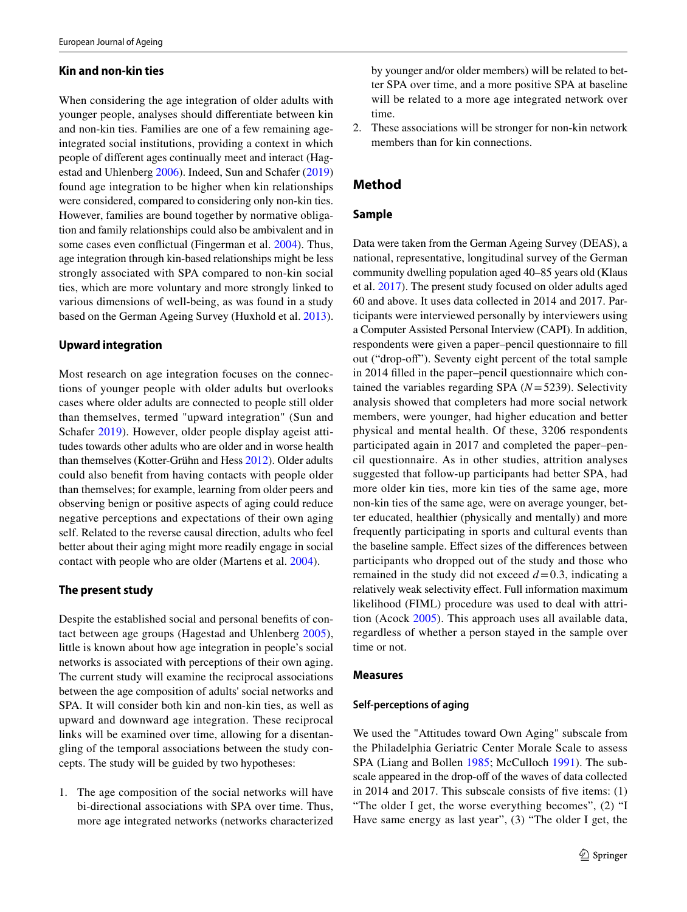## **Kin and non‑kin ties**

When considering the age integration of older adults with younger people, analyses should diferentiate between kin and non-kin ties. Families are one of a few remaining ageintegrated social institutions, providing a context in which people of diferent ages continually meet and interact (Hagestad and Uhlenberg [2006](#page-8-18)). Indeed, Sun and Schafer ([2019\)](#page-8-6) found age integration to be higher when kin relationships were considered, compared to considering only non-kin ties. However, families are bound together by normative obligation and family relationships could also be ambivalent and in some cases even confictual (Fingerman et al. [2004\)](#page-8-19). Thus, age integration through kin-based relationships might be less strongly associated with SPA compared to non-kin social ties, which are more voluntary and more strongly linked to various dimensions of well-being, as was found in a study based on the German Ageing Survey (Huxhold et al. [2013](#page-8-20)).

#### **Upward integration**

Most research on age integration focuses on the connections of younger people with older adults but overlooks cases where older adults are connected to people still older than themselves, termed "upward integration" (Sun and Schafer [2019\)](#page-8-6). However, older people display ageist attitudes towards other adults who are older and in worse health than themselves (Kotter-Grühn and Hess [2012\)](#page-8-21). Older adults could also beneft from having contacts with people older than themselves; for example, learning from older peers and observing benign or positive aspects of aging could reduce negative perceptions and expectations of their own aging self. Related to the reverse causal direction, adults who feel better about their aging might more readily engage in social contact with people who are older (Martens et al. [2004\)](#page-8-22).

## **The present study**

Despite the established social and personal benefts of contact between age groups (Hagestad and Uhlenberg [2005](#page-8-0)), little is known about how age integration in people's social networks is associated with perceptions of their own aging. The current study will examine the reciprocal associations between the age composition of adults' social networks and SPA. It will consider both kin and non-kin ties, as well as upward and downward age integration. These reciprocal links will be examined over time, allowing for a disentangling of the temporal associations between the study concepts. The study will be guided by two hypotheses:

1. The age composition of the social networks will have bi-directional associations with SPA over time. Thus, more age integrated networks (networks characterized 2. These associations will be stronger for non-kin network members than for kin connections.

# **Method**

## **Sample**

Data were taken from the German Ageing Survey (DEAS), a national, representative, longitudinal survey of the German community dwelling population aged 40–85 years old (Klaus et al. [2017](#page-8-23)). The present study focused on older adults aged 60 and above. It uses data collected in 2014 and 2017. Participants were interviewed personally by interviewers using a Computer Assisted Personal Interview (CAPI). In addition, respondents were given a paper–pencil questionnaire to fll out ("drop-of"). Seventy eight percent of the total sample in 2014 flled in the paper–pencil questionnaire which contained the variables regarding SPA (*N*=5239). Selectivity analysis showed that completers had more social network members, were younger, had higher education and better physical and mental health. Of these, 3206 respondents participated again in 2017 and completed the paper–pencil questionnaire. As in other studies, attrition analyses suggested that follow-up participants had better SPA, had more older kin ties, more kin ties of the same age, more non-kin ties of the same age, were on average younger, better educated, healthier (physically and mentally) and more frequently participating in sports and cultural events than the baseline sample. Efect sizes of the diferences between participants who dropped out of the study and those who remained in the study did not exceed  $d=0.3$ , indicating a relatively weak selectivity effect. Full information maximum likelihood (FIML) procedure was used to deal with attrition (Acock [2005\)](#page-7-4). This approach uses all available data, regardless of whether a person stayed in the sample over time or not.

#### **Measures**

#### **Self‑perceptions of aging**

We used the "Attitudes toward Own Aging" subscale from the Philadelphia Geriatric Center Morale Scale to assess SPA (Liang and Bollen [1985;](#page-8-24) McCulloch [1991](#page-8-25)). The subscale appeared in the drop-off of the waves of data collected in 2014 and 2017. This subscale consists of fve items: (1) "The older I get, the worse everything becomes", (2) "I Have same energy as last year", (3) "The older I get, the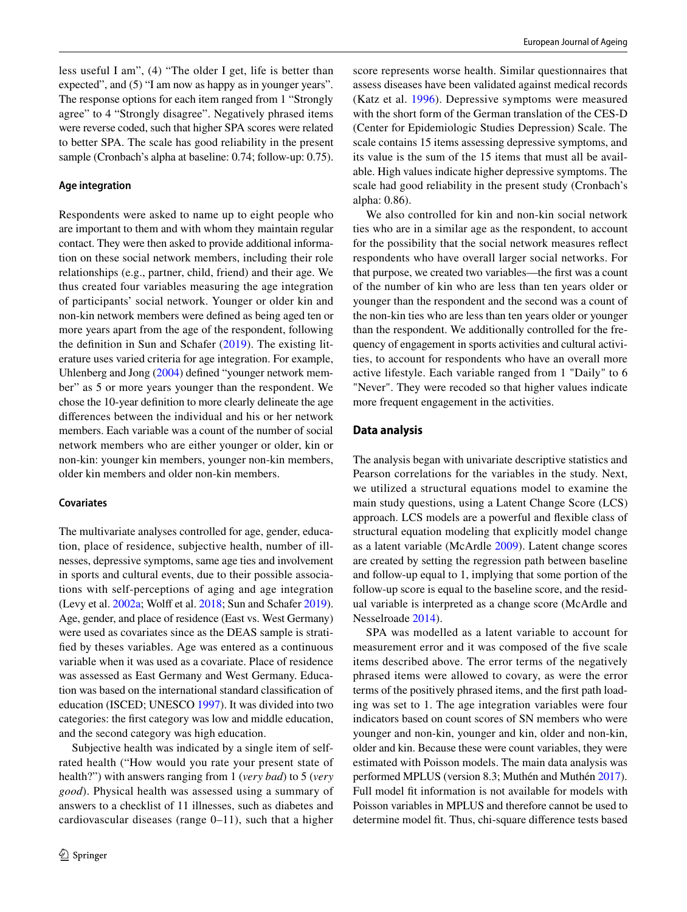less useful I am", (4) "The older I get, life is better than expected", and (5) "I am now as happy as in younger years". The response options for each item ranged from 1 "Strongly agree" to 4 "Strongly disagree". Negatively phrased items were reverse coded, such that higher SPA scores were related to better SPA. The scale has good reliability in the present sample (Cronbach's alpha at baseline: 0.74; follow-up: 0.75).

#### **Age integration**

Respondents were asked to name up to eight people who are important to them and with whom they maintain regular contact. They were then asked to provide additional information on these social network members, including their role relationships (e.g., partner, child, friend) and their age. We thus created four variables measuring the age integration of participants' social network. Younger or older kin and non-kin network members were defned as being aged ten or more years apart from the age of the respondent, following the definition in Sun and Schafer  $(2019)$  $(2019)$  $(2019)$ . The existing literature uses varied criteria for age integration. For example, Uhlenberg and Jong ([2004\)](#page-8-26) defned "younger network member" as 5 or more years younger than the respondent. We chose the 10-year defnition to more clearly delineate the age diferences between the individual and his or her network members. Each variable was a count of the number of social network members who are either younger or older, kin or non-kin: younger kin members, younger non-kin members, older kin members and older non-kin members.

## **Covariates**

The multivariate analyses controlled for age, gender, education, place of residence, subjective health, number of illnesses, depressive symptoms, same age ties and involvement in sports and cultural events, due to their possible associations with self-perceptions of aging and age integration (Levy et al. [2002a](#page-8-3); Wolff et al. [2018](#page-8-27); Sun and Schafer [2019](#page-8-6)). Age, gender, and place of residence (East vs. West Germany) were used as covariates since as the DEAS sample is stratifed by theses variables. Age was entered as a continuous variable when it was used as a covariate. Place of residence was assessed as East Germany and West Germany. Education was based on the international standard classifcation of education (ISCED; UNESCO [1997\)](#page-8-28). It was divided into two categories: the frst category was low and middle education, and the second category was high education.

Subjective health was indicated by a single item of selfrated health ("How would you rate your present state of health?") with answers ranging from 1 (*very bad*) to 5 (*very good*). Physical health was assessed using a summary of answers to a checklist of 11 illnesses, such as diabetes and cardiovascular diseases (range  $0-11$ ), such that a higher score represents worse health. Similar questionnaires that assess diseases have been validated against medical records (Katz et al. [1996](#page-8-29)). Depressive symptoms were measured with the short form of the German translation of the CES-D (Center for Epidemiologic Studies Depression) Scale. The scale contains 15 items assessing depressive symptoms, and its value is the sum of the 15 items that must all be available. High values indicate higher depressive symptoms. The scale had good reliability in the present study (Cronbach's alpha: 0.86).

We also controlled for kin and non-kin social network ties who are in a similar age as the respondent, to account for the possibility that the social network measures refect respondents who have overall larger social networks. For that purpose, we created two variables—the frst was a count of the number of kin who are less than ten years older or younger than the respondent and the second was a count of the non-kin ties who are less than ten years older or younger than the respondent. We additionally controlled for the frequency of engagement in sports activities and cultural activities, to account for respondents who have an overall more active lifestyle. Each variable ranged from 1 "Daily" to 6 "Never". They were recoded so that higher values indicate more frequent engagement in the activities.

#### **Data analysis**

The analysis began with univariate descriptive statistics and Pearson correlations for the variables in the study. Next, we utilized a structural equations model to examine the main study questions, using a Latent Change Score (LCS) approach. LCS models are a powerful and fexible class of structural equation modeling that explicitly model change as a latent variable (McArdle [2009\)](#page-8-30). Latent change scores are created by setting the regression path between baseline and follow-up equal to 1, implying that some portion of the follow-up score is equal to the baseline score, and the residual variable is interpreted as a change score (McArdle and Nesselroade [2014](#page-8-31)).

SPA was modelled as a latent variable to account for measurement error and it was composed of the fve scale items described above. The error terms of the negatively phrased items were allowed to covary, as were the error terms of the positively phrased items, and the frst path loading was set to 1. The age integration variables were four indicators based on count scores of SN members who were younger and non-kin, younger and kin, older and non-kin, older and kin. Because these were count variables, they were estimated with Poisson models. The main data analysis was performed MPLUS (version 8.3; Muthén and Muthén [2017](#page-8-32)). Full model fit information is not available for models with Poisson variables in MPLUS and therefore cannot be used to determine model ft. Thus, chi-square diference tests based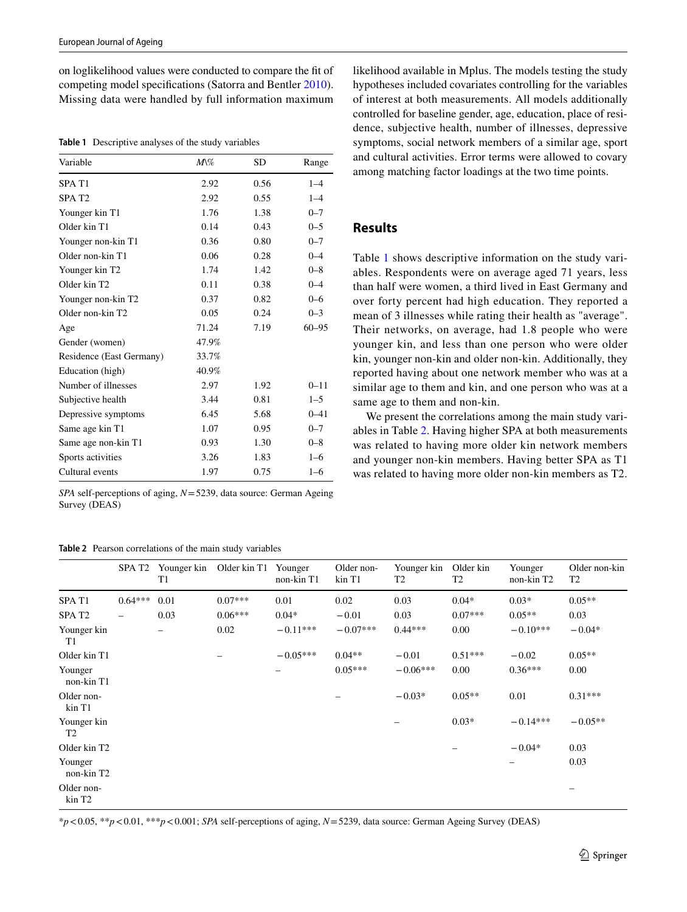on loglikelihood values were conducted to compare the ft of competing model specifcations (Satorra and Bentler [2010](#page-8-33)). Missing data were handled by full information maximum

<span id="page-4-0"></span>**Table 1** Descriptive analyses of the study variables

| Variable                   | $M\%$ | <b>SD</b> | Range     |
|----------------------------|-------|-----------|-----------|
| SPA T <sub>1</sub>         | 2.92  | 0.56      | $1 - 4$   |
| SPAT <sub>2</sub>          | 2.92  | 0.55      | $1 - 4$   |
| Younger kin T1             | 1.76  | 1.38      | $0 - 7$   |
| Older kin T1               | 0.14  | 0.43      | $0 - 5$   |
| Younger non-kin T1         | 0.36  | 0.80      | $0 - 7$   |
| Older non-kin T1           | 0.06  | 0.28      | $0 - 4$   |
| Younger kin T <sub>2</sub> | 1.74  | 1.42      | $0 - 8$   |
| Older kin T <sub>2</sub>   | 0.11  | 0.38      | $0 - 4$   |
| Younger non-kin T2         | 0.37  | 0.82      | $0 - 6$   |
| Older non-kin T2           | 0.05  | 0.24      | $0 - 3$   |
| Age                        | 71.24 | 7.19      | $60 - 95$ |
| Gender (women)             | 47.9% |           |           |
| Residence (East Germany)   | 33.7% |           |           |
| Education (high)           | 40.9% |           |           |
| Number of illnesses        | 2.97  | 1.92      | $0 - 11$  |
| Subjective health          | 3.44  | 0.81      | $1 - 5$   |
| Depressive symptoms        | 6.45  | 5.68      | $0 - 41$  |
| Same age kin T1            | 1.07  | 0.95      | $0 - 7$   |
| Same age non-kin T1        | 0.93  | 1.30      | $0 - 8$   |
| Sports activities          | 3.26  | 1.83      | $1 - 6$   |
| Cultural events            | 1.97  | 0.75      | $1 - 6$   |

*SPA* self-perceptions of aging, *N*=5239, data source: German Ageing Survey (DEAS)

<span id="page-4-1"></span>**Table 2** Pearson correlations of the main study variables

likelihood available in Mplus. The models testing the study hypotheses included covariates controlling for the variables of interest at both measurements. All models additionally controlled for baseline gender, age, education, place of residence, subjective health, number of illnesses, depressive symptoms, social network members of a similar age, sport and cultural activities. Error terms were allowed to covary among matching factor loadings at the two time points.

# **Results**

Table [1](#page-4-0) shows descriptive information on the study variables. Respondents were on average aged 71 years, less than half were women, a third lived in East Germany and over forty percent had high education. They reported a mean of 3 illnesses while rating their health as "average". Their networks, on average, had 1.8 people who were younger kin, and less than one person who were older kin, younger non-kin and older non-kin. Additionally, they reported having about one network member who was at a similar age to them and kin, and one person who was at a same age to them and non-kin.

We present the correlations among the main study variables in Table [2](#page-4-1). Having higher SPA at both measurements was related to having more older kin network members and younger non-kin members. Having better SPA as T1 was related to having more older non-kin members as T2.

|                                  | SPA T <sub>2</sub> | Younger kin<br>T1 | Older kin T1 | Younger<br>non-kin T1 | Older non-<br>kin T1 | Younger kin<br>T <sub>2</sub> | Older kin<br>T <sub>2</sub> | Younger<br>non-kin T2    | Older non-kin<br>T <sub>2</sub> |
|----------------------------------|--------------------|-------------------|--------------|-----------------------|----------------------|-------------------------------|-----------------------------|--------------------------|---------------------------------|
| SPA T1                           | $0.64***$          | 0.01              | $0.07***$    | 0.01                  | 0.02                 | 0.03                          | $0.04*$                     | $0.03*$                  | $0.05**$                        |
| SPA <sub>T2</sub>                | -                  | 0.03              | $0.06***$    | $0.04*$               | $-0.01$              | 0.03                          | $0.07***$                   | $0.05**$                 | 0.03                            |
| Younger kin<br>T1                |                    | -                 | 0.02         | $-0.11***$            | $-0.07***$           | $0.44***$                     | 0.00                        | $-0.10***$               | $-0.04*$                        |
| Older kin T1                     |                    |                   |              | $-0.05***$            | $0.04**$             | $-0.01$                       | $0.51***$                   | $-0.02$                  | $0.05**$                        |
| Younger<br>non-kin T1            |                    |                   |              |                       | $0.05***$            | $-0.06***$                    | 0.00                        | $0.36***$                | 0.00                            |
| Older non-<br>kin T1             |                    |                   |              |                       |                      | $-0.03*$                      | $0.05**$                    | 0.01                     | $0.31***$                       |
| Younger kin<br>T <sub>2</sub>    |                    |                   |              |                       |                      |                               | $0.03*$                     | $-0.14***$               | $-0.05**$                       |
| Older kin T <sub>2</sub>         |                    |                   |              |                       |                      |                               |                             | $-0.04*$                 | 0.03                            |
| Younger<br>non-kin T2            |                    |                   |              |                       |                      |                               |                             | $\overline{\phantom{0}}$ | 0.03                            |
| Older non-<br>kin T <sub>2</sub> |                    |                   |              |                       |                      |                               |                             |                          | -                               |

\**p*<0.05, \*\**p*<0.01, \*\*\**p*<0.001; *SPA* self-perceptions of aging, *N*=5239, data source: German Ageing Survey (DEAS)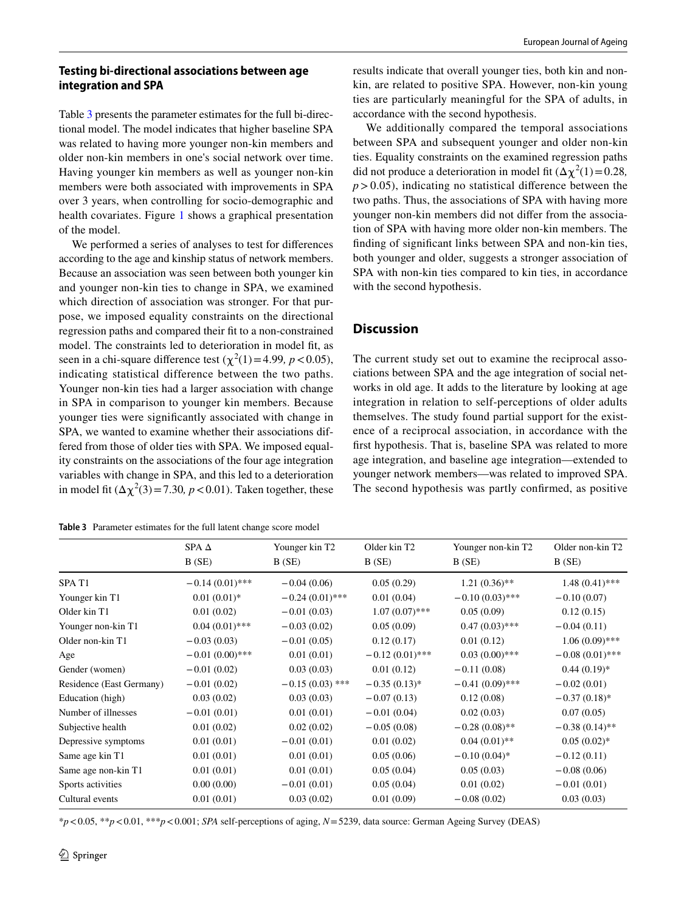## **Testing bi‑directional associations between age integration and SPA**

Table [3](#page-5-0) presents the parameter estimates for the full bi-directional model. The model indicates that higher baseline SPA was related to having more younger non-kin members and older non-kin members in one's social network over time. Having younger kin members as well as younger non-kin members were both associated with improvements in SPA over 3 years, when controlling for socio-demographic and health covariates. Figure [1](#page-6-0) shows a graphical presentation of the model.

We performed a series of analyses to test for diferences according to the age and kinship status of network members. Because an association was seen between both younger kin and younger non-kin ties to change in SPA, we examined which direction of association was stronger. For that purpose, we imposed equality constraints on the directional regression paths and compared their ft to a non-constrained model. The constraints led to deterioration in model ft, as seen in a chi-square difference test  $(\chi^2(1) = 4.99, p < 0.05)$ , indicating statistical difference between the two paths. Younger non-kin ties had a larger association with change in SPA in comparison to younger kin members. Because younger ties were signifcantly associated with change in SPA, we wanted to examine whether their associations differed from those of older ties with SPA. We imposed equality constraints on the associations of the four age integration variables with change in SPA, and this led to a deterioration in model fit  $(\Delta \chi^2(3) = 7.30, p < 0.01)$ . Taken together, these

<span id="page-5-0"></span>**Table 3** Parameter estimates for the full latent change score model

results indicate that overall younger ties, both kin and nonkin, are related to positive SPA. However, non-kin young ties are particularly meaningful for the SPA of adults, in accordance with the second hypothesis.

We additionally compared the temporal associations between SPA and subsequent younger and older non-kin ties. Equality constraints on the examined regression paths did not produce a deterioration in model fit  $(\Delta \chi^2(1) = 0.28$ ,  $p > 0.05$ ), indicating no statistical difference between the two paths. Thus, the associations of SPA with having more younger non-kin members did not difer from the association of SPA with having more older non-kin members. The fnding of signifcant links between SPA and non-kin ties, both younger and older, suggests a stronger association of SPA with non-kin ties compared to kin ties, in accordance with the second hypothesis.

# **Discussion**

The current study set out to examine the reciprocal associations between SPA and the age integration of social networks in old age. It adds to the literature by looking at age integration in relation to self-perceptions of older adults themselves. The study found partial support for the existence of a reciprocal association, in accordance with the frst hypothesis. That is, baseline SPA was related to more age integration, and baseline age integration—extended to younger network members—was related to improved SPA. The second hypothesis was partly confrmed, as positive

|                          | SPA $\Delta$      | Younger kin T <sub>2</sub> | Older kin T <sub>2</sub> | Younger non-kin T2 | Older non-kin T2  |
|--------------------------|-------------------|----------------------------|--------------------------|--------------------|-------------------|
|                          | B(SE)             | B(SE)                      | B(SE)                    | B(SE)              | B(SE)             |
| SPA T1                   | $-0.14(0.01)$ *** | $-0.04(0.06)$              | 0.05(0.29)               | $1.21(0.36)$ **    | $1.48(0.41)$ ***  |
| Younger kin T1           | $0.01(0.01)*$     | $-0.24(0.01)$ ***          | 0.01(0.04)               | $-0.10(0.03)$ ***  | $-0.10(0.07)$     |
| Older kin T1             | 0.01(0.02)        | $-0.01(0.03)$              | $1.07(0.07)$ ***         | 0.05(0.09)         | 0.12(0.15)        |
| Younger non-kin T1       | $0.04(0.01)$ ***  | $-0.03(0.02)$              | 0.05(0.09)               | $0.47(0.03)$ ***   | $-0.04(0.11)$     |
| Older non-kin T1         | $-0.03(0.03)$     | $-0.01(0.05)$              | 0.12(0.17)               | 0.01(0.12)         | $1.06(0.09)$ ***  |
| Age                      | $-0.01(0.00)$ *** | 0.01(0.01)                 | $-0.12(0.01)$ ***        | $0.03(0.00)$ ***   | $-0.08(0.01)$ *** |
| Gender (women)           | $-0.01(0.02)$     | 0.03(0.03)                 | 0.01(0.12)               | $-0.11(0.08)$      | $0.44(0.19)*$     |
| Residence (East Germany) | $-0.01(0.02)$     | $-0.15(0.03)$ ***          | $-0.35(0.13)$ *          | $-0.41(0.09)$ ***  | $-0.02(0.01)$     |
| Education (high)         | 0.03(0.02)        | 0.03(0.03)                 | $-0.07(0.13)$            | 0.12(0.08)         | $-0.37(0.18)$ *   |
| Number of illnesses      | $-0.01(0.01)$     | 0.01(0.01)                 | $-0.01(0.04)$            | 0.02(0.03)         | 0.07(0.05)        |
| Subjective health        | 0.01(0.02)        | 0.02(0.02)                 | $-0.05(0.08)$            | $-0.28(0.08)$ **   | $-0.38(0.14)$ **  |
| Depressive symptoms      | 0.01(0.01)        | $-0.01(0.01)$              | 0.01(0.02)               | $0.04(0.01)$ **    | $0.05(0.02)$ *    |
| Same age kin T1          | 0.01(0.01)        | 0.01(0.01)                 | 0.05(0.06)               | $-0.10(0.04)$ *    | $-0.12(0.11)$     |
| Same age non-kin T1      | 0.01(0.01)        | 0.01(0.01)                 | 0.05(0.04)               | 0.05(0.03)         | $-0.08(0.06)$     |
| Sports activities        | 0.00(0.00)        | $-0.01(0.01)$              | 0.05(0.04)               | 0.01(0.02)         | $-0.01(0.01)$     |
| Cultural events          | 0.01(0.01)        | 0.03(0.02)                 | 0.01(0.09)               | $-0.08(0.02)$      | 0.03(0.03)        |

\**p*<0.05, \*\**p*<0.01, \*\*\**p*<0.001; *SPA* self-perceptions of aging, *N*=5239, data source: German Ageing Survey (DEAS)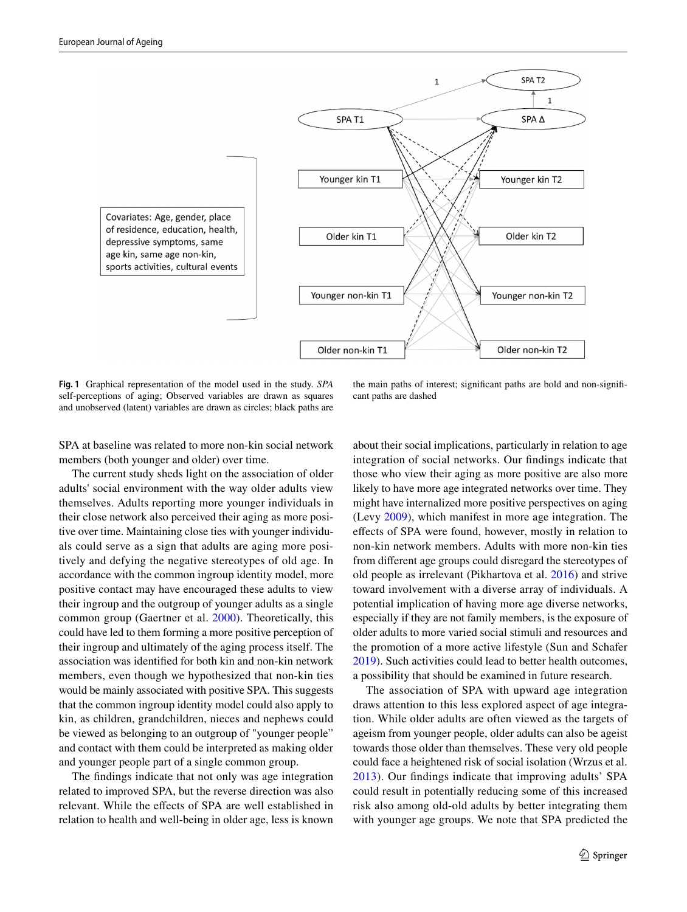

<span id="page-6-0"></span>**Fig. 1** Graphical representation of the model used in the study. *SPA* self-perceptions of aging; Observed variables are drawn as squares and unobserved (latent) variables are drawn as circles; black paths are

the main paths of interest; signifcant paths are bold and non-signifcant paths are dashed

SPA at baseline was related to more non-kin social network members (both younger and older) over time.

The current study sheds light on the association of older adults' social environment with the way older adults view themselves. Adults reporting more younger individuals in their close network also perceived their aging as more positive over time. Maintaining close ties with younger individuals could serve as a sign that adults are aging more positively and defying the negative stereotypes of old age. In accordance with the common ingroup identity model, more positive contact may have encouraged these adults to view their ingroup and the outgroup of younger adults as a single common group (Gaertner et al. [2000\)](#page-8-11). Theoretically, this could have led to them forming a more positive perception of their ingroup and ultimately of the aging process itself. The association was identifed for both kin and non-kin network members, even though we hypothesized that non-kin ties would be mainly associated with positive SPA. This suggests that the common ingroup identity model could also apply to kin, as children, grandchildren, nieces and nephews could be viewed as belonging to an outgroup of "younger people" and contact with them could be interpreted as making older and younger people part of a single common group.

The fndings indicate that not only was age integration related to improved SPA, but the reverse direction was also relevant. While the efects of SPA are well established in relation to health and well-being in older age, less is known about their social implications, particularly in relation to age integration of social networks. Our fndings indicate that those who view their aging as more positive are also more likely to have more age integrated networks over time. They might have internalized more positive perspectives on aging (Levy [2009](#page-8-10)), which manifest in more age integration. The efects of SPA were found, however, mostly in relation to non-kin network members. Adults with more non-kin ties from diferent age groups could disregard the stereotypes of old people as irrelevant (Pikhartova et al. [2016](#page-8-14)) and strive toward involvement with a diverse array of individuals. A potential implication of having more age diverse networks, especially if they are not family members, is the exposure of older adults to more varied social stimuli and resources and the promotion of a more active lifestyle (Sun and Schafer [2019](#page-8-6)). Such activities could lead to better health outcomes, a possibility that should be examined in future research.

The association of SPA with upward age integration draws attention to this less explored aspect of age integration. While older adults are often viewed as the targets of ageism from younger people, older adults can also be ageist towards those older than themselves. These very old people could face a heightened risk of social isolation (Wrzus et al. [2013\)](#page-8-34). Our fndings indicate that improving adults' SPA could result in potentially reducing some of this increased risk also among old-old adults by better integrating them with younger age groups. We note that SPA predicted the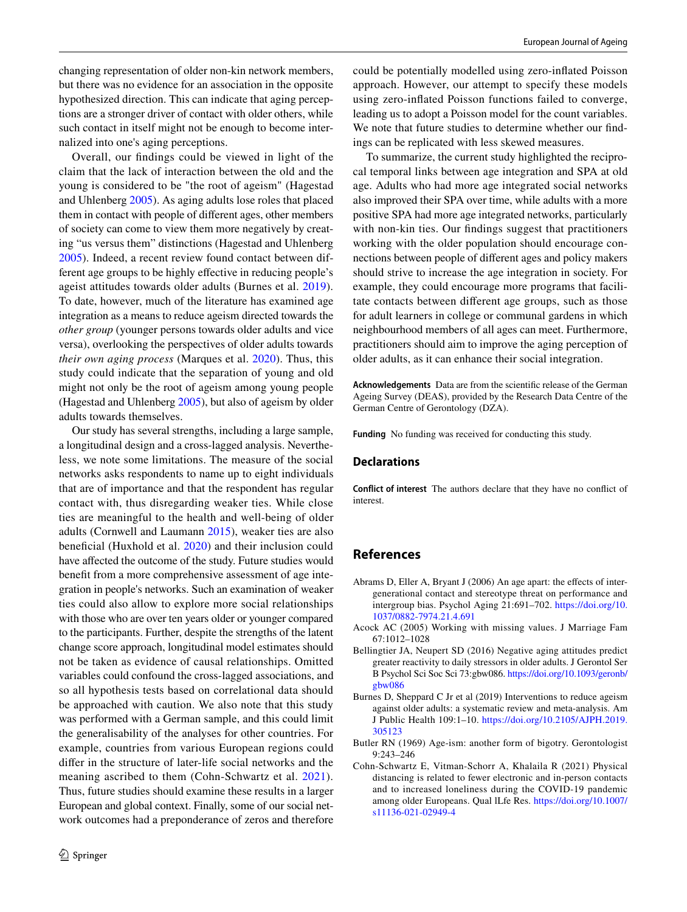changing representation of older non-kin network members, but there was no evidence for an association in the opposite hypothesized direction. This can indicate that aging perceptions are a stronger driver of contact with older others, while such contact in itself might not be enough to become internalized into one's aging perceptions.

Overall, our fndings could be viewed in light of the claim that the lack of interaction between the old and the young is considered to be "the root of ageism" (Hagestad and Uhlenberg [2005\)](#page-8-0). As aging adults lose roles that placed them in contact with people of diferent ages, other members of society can come to view them more negatively by creating "us versus them" distinctions (Hagestad and Uhlenberg [2005](#page-8-0)). Indeed, a recent review found contact between different age groups to be highly efective in reducing people's ageist attitudes towards older adults (Burnes et al. [2019](#page-7-0)). To date, however, much of the literature has examined age integration as a means to reduce ageism directed towards the *other group* (younger persons towards older adults and vice versa), overlooking the perspectives of older adults towards *their own aging process* (Marques et al. [2020](#page-8-9)). Thus, this study could indicate that the separation of young and old might not only be the root of ageism among young people (Hagestad and Uhlenberg [2005](#page-8-0)), but also of ageism by older adults towards themselves.

Our study has several strengths, including a large sample, a longitudinal design and a cross-lagged analysis. Nevertheless, we note some limitations. The measure of the social networks asks respondents to name up to eight individuals that are of importance and that the respondent has regular contact with, thus disregarding weaker ties. While close ties are meaningful to the health and well-being of older adults (Cornwell and Laumann [2015](#page-8-35)), weaker ties are also beneficial (Huxhold et al. [2020\)](#page-8-36) and their inclusion could have affected the outcome of the study. Future studies would beneft from a more comprehensive assessment of age integration in people's networks. Such an examination of weaker ties could also allow to explore more social relationships with those who are over ten years older or younger compared to the participants. Further, despite the strengths of the latent change score approach, longitudinal model estimates should not be taken as evidence of causal relationships. Omitted variables could confound the cross-lagged associations, and so all hypothesis tests based on correlational data should be approached with caution. We also note that this study was performed with a German sample, and this could limit the generalisability of the analyses for other countries. For example, countries from various European regions could difer in the structure of later-life social networks and the meaning ascribed to them (Cohn-Schwartz et al. [2021\)](#page-7-5). Thus, future studies should examine these results in a larger European and global context. Finally, some of our social network outcomes had a preponderance of zeros and therefore

could be potentially modelled using zero-infated Poisson approach. However, our attempt to specify these models using zero-infated Poisson functions failed to converge, leading us to adopt a Poisson model for the count variables. We note that future studies to determine whether our fndings can be replicated with less skewed measures.

To summarize, the current study highlighted the reciprocal temporal links between age integration and SPA at old age. Adults who had more age integrated social networks also improved their SPA over time, while adults with a more positive SPA had more age integrated networks, particularly with non-kin ties. Our findings suggest that practitioners working with the older population should encourage connections between people of diferent ages and policy makers should strive to increase the age integration in society. For example, they could encourage more programs that facilitate contacts between diferent age groups, such as those for adult learners in college or communal gardens in which neighbourhood members of all ages can meet. Furthermore, practitioners should aim to improve the aging perception of older adults, as it can enhance their social integration.

**Acknowledgements** Data are from the scientifc release of the German Ageing Survey (DEAS), provided by the Research Data Centre of the German Centre of Gerontology (DZA).

**Funding** No funding was received for conducting this study.

#### **Declarations**

**Conflict of interest** The authors declare that they have no confict of interest.

# **References**

- <span id="page-7-3"></span>Abrams D, Eller A, Bryant J (2006) An age apart: the effects of intergenerational contact and stereotype threat on performance and intergroup bias. Psychol Aging 21:691–702. [https://doi.org/10.](https://doi.org/10.1037/0882-7974.21.4.691) [1037/0882-7974.21.4.691](https://doi.org/10.1037/0882-7974.21.4.691)
- <span id="page-7-4"></span>Acock AC (2005) Working with missing values. J Marriage Fam 67:1012–1028
- <span id="page-7-2"></span>Bellingtier JA, Neupert SD (2016) Negative aging attitudes predict greater reactivity to daily stressors in older adults. J Gerontol Ser B Psychol Sci Soc Sci 73:gbw086. [https://doi.org/10.1093/geronb/](https://doi.org/10.1093/geronb/gbw086) [gbw086](https://doi.org/10.1093/geronb/gbw086)
- <span id="page-7-0"></span>Burnes D, Sheppard C Jr et al (2019) Interventions to reduce ageism against older adults: a systematic review and meta-analysis. Am J Public Health 109:1–10. [https://doi.org/10.2105/AJPH.2019.](https://doi.org/10.2105/AJPH.2019.305123) [305123](https://doi.org/10.2105/AJPH.2019.305123)
- <span id="page-7-1"></span>Butler RN (1969) Age-ism: another form of bigotry. Gerontologist 9:243–246
- <span id="page-7-5"></span>Cohn-Schwartz E, Vitman-Schorr A, Khalaila R (2021) Physical distancing is related to fewer electronic and in-person contacts and to increased loneliness during the COVID-19 pandemic among older Europeans. Qual lLfe Res. [https://doi.org/10.1007/](https://doi.org/10.1007/s11136-021-02949-4) [s11136-021-02949-4](https://doi.org/10.1007/s11136-021-02949-4)